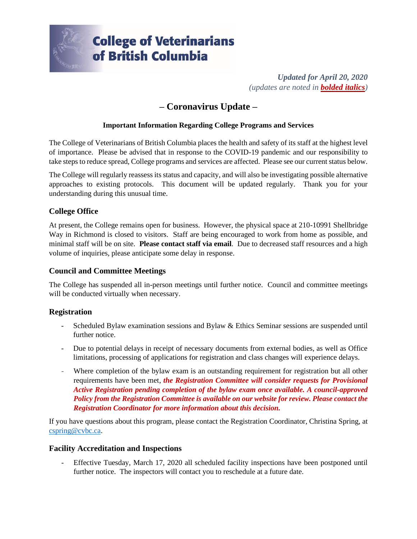

*Updated for April 20, 2020 (updates are noted in bolded italics)*

# **– Coronavirus Update –**

## **Important Information Regarding College Programs and Services**

The College of Veterinarians of British Columbia places the health and safety of its staff at the highest level of importance. Please be advised that in response to the COVID-19 pandemic and our responsibility to take steps to reduce spread, College programs and services are affected. Please see our current status below.

The College will regularly reassess its status and capacity, and will also be investigating possible alternative approaches to existing protocols. This document will be updated regularly. Thank you for your understanding during this unusual time.

# **College Office**

At present, the College remains open for business. However, the physical space at 210-10991 Shellbridge Way in Richmond is closed to visitors. Staff are being encouraged to work from home as possible, and minimal staff will be on site. **Please contact staff via email**. Due to decreased staff resources and a high volume of inquiries, please anticipate some delay in response.

#### **Council and Committee Meetings**

The College has suspended all in-person meetings until further notice. Council and committee meetings will be conducted virtually when necessary.

#### **Registration**

- Scheduled Bylaw examination sessions and Bylaw & Ethics Seminar sessions are suspended until further notice.
- Due to potential delays in receipt of necessary documents from external bodies, as well as Office limitations, processing of applications for registration and class changes will experience delays.
- Where completion of the bylaw exam is an outstanding requirement for registration but all other requirements have been met, *the Registration Committee will consider requests for Provisional Active Registration pending completion of the bylaw exam once available. A council-approved Policy from the Registration Committee is available on our website for review. Please contact the Registration Coordinator for more information about this decision.*

If you have questions about this program, please contact the Registration Coordinator, Christina Spring, at [cspring@cvbc.ca.](mailto:cspring@cvbc.ca)

#### **Facility Accreditation and Inspections**

- Effective Tuesday, March 17, 2020 all scheduled facility inspections have been postponed until further notice. The inspectors will contact you to reschedule at a future date.